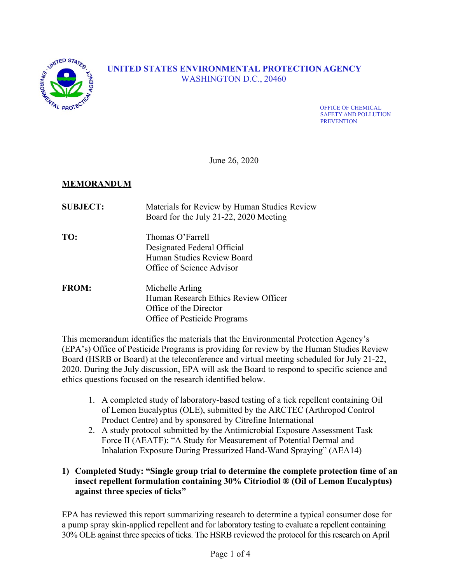

# **UNITED STATES ENVIRONMENTAL PROTECTION AGENCY** WASHINGTON D.C., 20460

OFFICE OF CHEMICAL SAFETY AND POLLUTION **PREVENTION** 

June 26, 2020

## **MEMORANDUM**

| <b>SUBJECT:</b> | Materials for Review by Human Studies Review<br>Board for the July 21-22, 2020 Meeting                            |
|-----------------|-------------------------------------------------------------------------------------------------------------------|
| TO:             | Thomas O'Farrell<br>Designated Federal Official<br>Human Studies Review Board<br>Office of Science Advisor        |
| <b>FROM:</b>    | Michelle Arling<br>Human Research Ethics Review Officer<br>Office of the Director<br>Office of Pesticide Programs |

This memorandum identifies the materials that the Environmental Protection Agency's (EPA's) Office of Pesticide Programs is providing for review by the Human Studies Review Board (HSRB or Board) at the teleconference and virtual meeting scheduled for July 21-22, 2020. During the July discussion, EPA will ask the Board to respond to specific science and ethics questions focused on the research identified below.

- 1. A completed study of laboratory-based testing of a tick repellent containing Oil of Lemon Eucalyptus (OLE), submitted by the ARCTEC (Arthropod Control Product Centre) and by sponsored by Citrefine International
- 2. A study protocol submitted by the Antimicrobial Exposure Assessment Task Force II (AEATF): "A Study for Measurement of Potential Dermal and Inhalation Exposure During Pressurized Hand-Wand Spraying" (AEA14)

#### **1) Completed Study: "Single group trial to determine the complete protection time of an insect repellent formulation containing 30% Citriodiol ® (Oil of Lemon Eucalyptus) against three species of ticks"**

EPA has reviewed this report summarizing research to determine a typical consumer dose for a pump spray skin-applied repellent and for laboratory testing to evaluate a repellent containing 30% OLE against three species of ticks. The HSRB reviewed the protocol for this research on April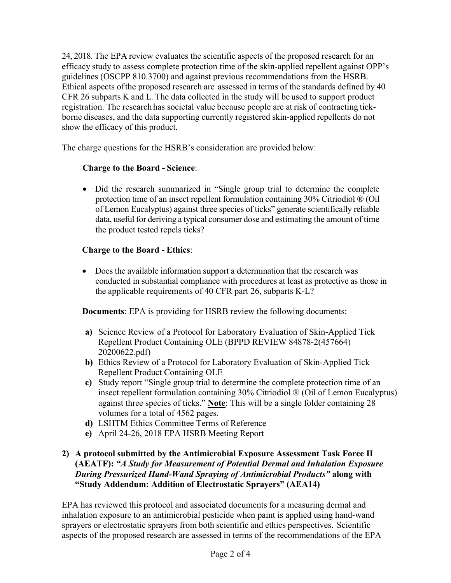24, 2018. The EPA review evaluates the scientific aspects of the proposed research for an efficacy study to assess complete protection time of the skin-applied repellent against OPP's guidelines (OSCPP 810.3700) and against previous recommendations from the HSRB. Ethical aspects of the proposed research are assessed in terms of the standards defined by 40 CFR 26 subparts K and L. The data collected in the study will be used to support product registration. The research has societal value because people are at risk of contracting tickborne diseases, and the data supporting currently registered skin-applied repellents do not show the efficacy of this product.

The charge questions for the HSRB's consideration are provided below:

## **Charge to the Board - Science**:

• Did the research summarized in "Single group trial to determine the complete protection time of an insect repellent formulation containing 30% Citriodiol ® (Oil of Lemon Eucalyptus) against three species of ticks" generate scientifically reliable data, useful for deriving a typical consumer dose and estimating the amount of time the product tested repels ticks?

## **Charge to the Board - Ethics**:

 Does the available information support a determination that the research was conducted in substantial compliance with procedures at least as protective as those in the applicable requirements of 40 CFR part 26, subparts K-L?

**Documents**: EPA is providing for HSRB review the following documents:

- **a)** Science Review of a Protocol for Laboratory Evaluation of Skin-Applied Tick Repellent Product Containing OLE (BPPD REVIEW 84878-2(457664) 20200622.pdf)
- **b)** Ethics Review of a Protocol for Laboratory Evaluation of Skin-Applied Tick Repellent Product Containing OLE
- **c)** Study report "Single group trial to determine the complete protection time of an insect repellent formulation containing 30% Citriodiol ® (Oil of Lemon Eucalyptus) against three species of ticks." **Note**: This will be a single folder containing 28 volumes for a total of 4562 pages.
- **d)** LSHTM Ethics Committee Terms of Reference
- **e)** April 24-26, 2018 EPA HSRB Meeting Report

#### **2) A protocol submitted by the Antimicrobial Exposure Assessment Task Force II (AEATF):** *"A Study for Measurement of Potential Dermal and Inhalation Exposure During Pressurized Hand-Wand Spraying of Antimicrobial Products"* **along with "Study Addendum: Addition of Electrostatic Sprayers" (AEA14)**

EPA has reviewed this protocol and associated documents for a measuring dermal and inhalation exposure to an antimicrobial pesticide when paint is applied using hand-wand sprayers or electrostatic sprayers from both scientific and ethics perspectives. Scientific aspects of the proposed research are assessed in terms of the recommendations of the EPA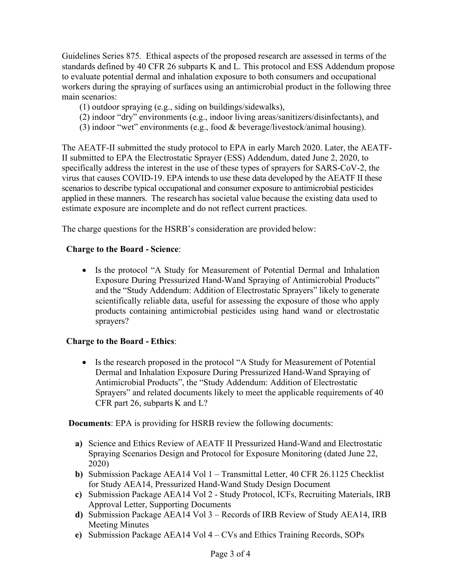Guidelines Series 875. Ethical aspects of the proposed research are assessed in terms of the standards defined by 40 CFR 26 subparts K and L. This protocol and ESS Addendum propose to evaluate potential dermal and inhalation exposure to both consumers and occupational workers during the spraying of surfaces using an antimicrobial product in the following three main scenarios:

- (1) outdoor spraying (e.g., siding on buildings/sidewalks),
- (2) indoor "dry" environments (e.g., indoor living areas/sanitizers/disinfectants), and
- (3) indoor "wet" environments (e.g., food & beverage/livestock/animal housing).

The AEATF-II submitted the study protocol to EPA in early March 2020. Later, the AEATF-II submitted to EPA the Electrostatic Sprayer (ESS) Addendum, dated June 2, 2020, to specifically address the interest in the use of these types of sprayers for SARS-CoV-2, the virus that causes COVID-19. EPA intends to use these data developed by the AEATF II these scenarios to describe typical occupational and consumer exposure to antimicrobial pesticides applied in these manners. The research has societal value because the existing data used to estimate exposure are incomplete and do not reflect current practices.

The charge questions for the HSRB's consideration are provided below:

#### **Charge to the Board - Science**:

• Is the protocol "A Study for Measurement of Potential Dermal and Inhalation Exposure During Pressurized Hand-Wand Spraying of Antimicrobial Products" and the "Study Addendum: Addition of Electrostatic Sprayers" likely to generate scientifically reliable data, useful for assessing the exposure of those who apply products containing antimicrobial pesticides using hand wand or electrostatic sprayers?

#### **Charge to the Board - Ethics**:

• Is the research proposed in the protocol "A Study for Measurement of Potential Dermal and Inhalation Exposure During Pressurized Hand-Wand Spraying of Antimicrobial Products", the "Study Addendum: Addition of Electrostatic Sprayers" and related documents likely to meet the applicable requirements of 40 CFR part 26, subparts K and L?

**Documents**: EPA is providing for HSRB review the following documents:

- **a)** Science and Ethics Review of AEATF II Pressurized Hand-Wand and Electrostatic Spraying Scenarios Design and Protocol for Exposure Monitoring (dated June 22, 2020)
- **b)** Submission Package AEA14 Vol 1 Transmittal Letter, 40 CFR 26.1125 Checklist for Study AEA14, Pressurized Hand-Wand Study Design Document
- **c)** Submission Package AEA14 Vol 2 Study Protocol, ICFs, Recruiting Materials, IRB Approval Letter, Supporting Documents
- **d)** Submission Package AEA14 Vol 3 Records of IRB Review of Study AEA14, IRB Meeting Minutes
- **e)** Submission Package AEA14 Vol 4 CVs and Ethics Training Records, SOPs